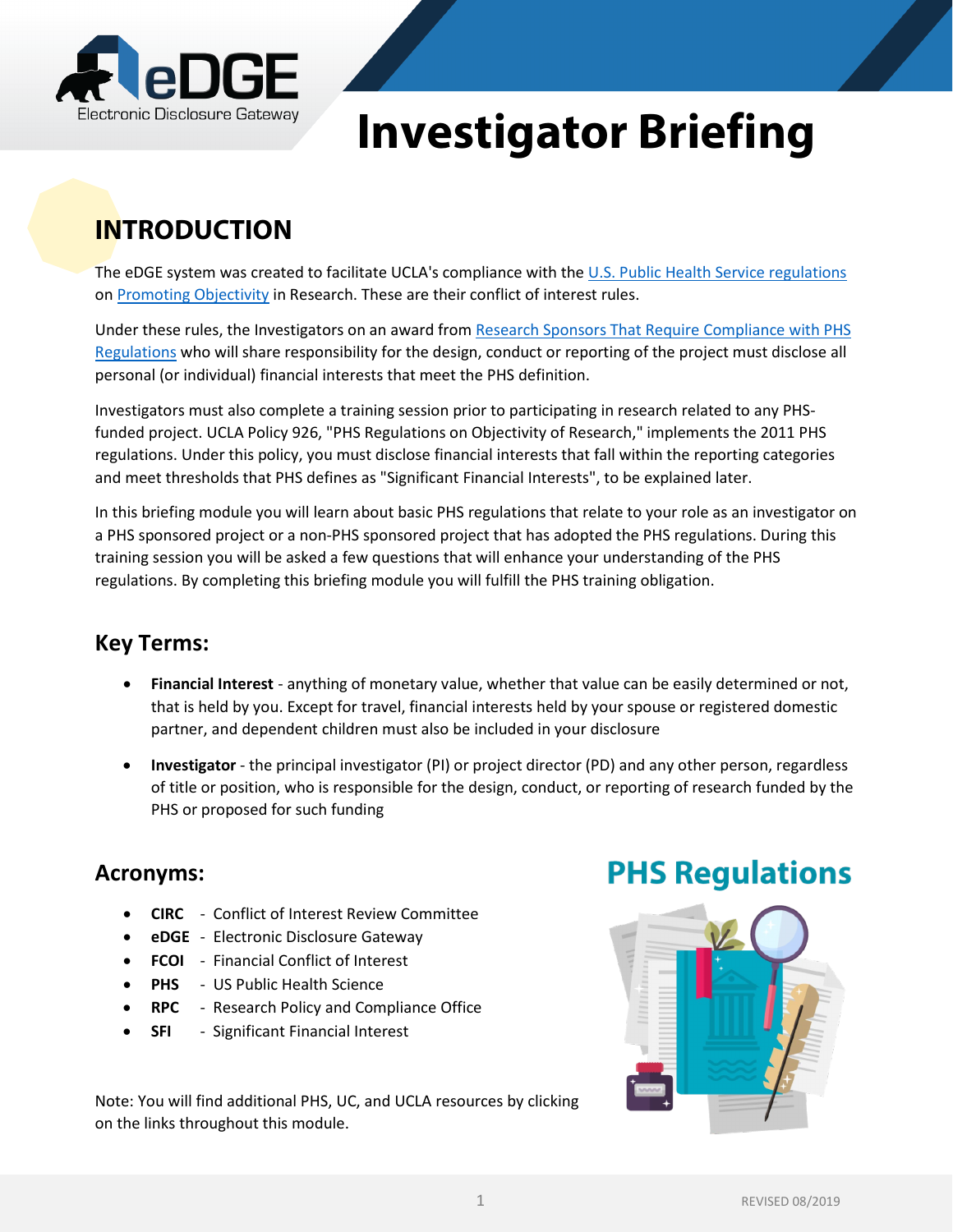

# **Investigator Briefing**

# **INTRODUCTION**

The eDGE system was created to facilitate UCLA's compliance with the [U.S. Public Health Service regulations](http://grants.nih.gov/grants/policy/coi/) on [Promoting Objectivity](http://www.adminpolicies.ucla.edu/app/Default.aspx?&id=926) in Research. These are their conflict of interest rules.

Under these rules, the Investigators on an award from Research [Sponsors That Require Compliance with PHS](http://ora.research.ucla.edu/RPC/Documents/PHS_Agency_List.pdf)  [Regulations w](http://ora.research.ucla.edu/RPC/Documents/PHS_Agency_List.pdf)ho will share responsibility for the design, conduct or reporting of the project must disclose all personal (or individual) financial interests that meet the PHS definition.

Investigators must also complete a training session prior to participating in research related to any PHSfunded project. UCLA Policy 926, "PHS Regulations on Objectivity of Research," implements the 2011 PHS regulations. Under this policy, you must disclose financial interests that fall within the reporting categories and meet thresholds that PHS defines as "Significant Financial Interests", to be explained later.

In this briefing module you will learn about basic PHS regulations that relate to your role as an investigator on a PHS sponsored project or a non-PHS sponsored project that has adopted the PHS regulations. During this training session you will be asked a few questions that will enhance your understanding of the PHS regulations. By completing this briefing module you will fulfill the PHS training obligation.

### **Key Terms:**

- **Financial Interest** anything of monetary value, whether that value can be easily determined or not, that is held by you. Except for travel, financial interests held by your spouse or registered domestic partner, and dependent children must also be included in your disclosure
- **Investigator** the principal investigator (PI) or project director (PD) and any other person, regardless of title or position, who is responsible for the design, conduct, or reporting of research funded by the PHS or proposed for such funding

#### **Acronyms:**

- **CIRC** Conflict of Interest Review Committee
- **eDGE** Electronic Disclosure Gateway
- **FCOI** Financial Conflict of Interest
- **PHS** US Public Health Science
- **RPC** Research Policy and Compliance Office
- **SFI** Significant Financial Interest

Note: You will find additional PHS, UC, and UCLA resources by clicking on the links throughout this module.

### **PHS Regulations**

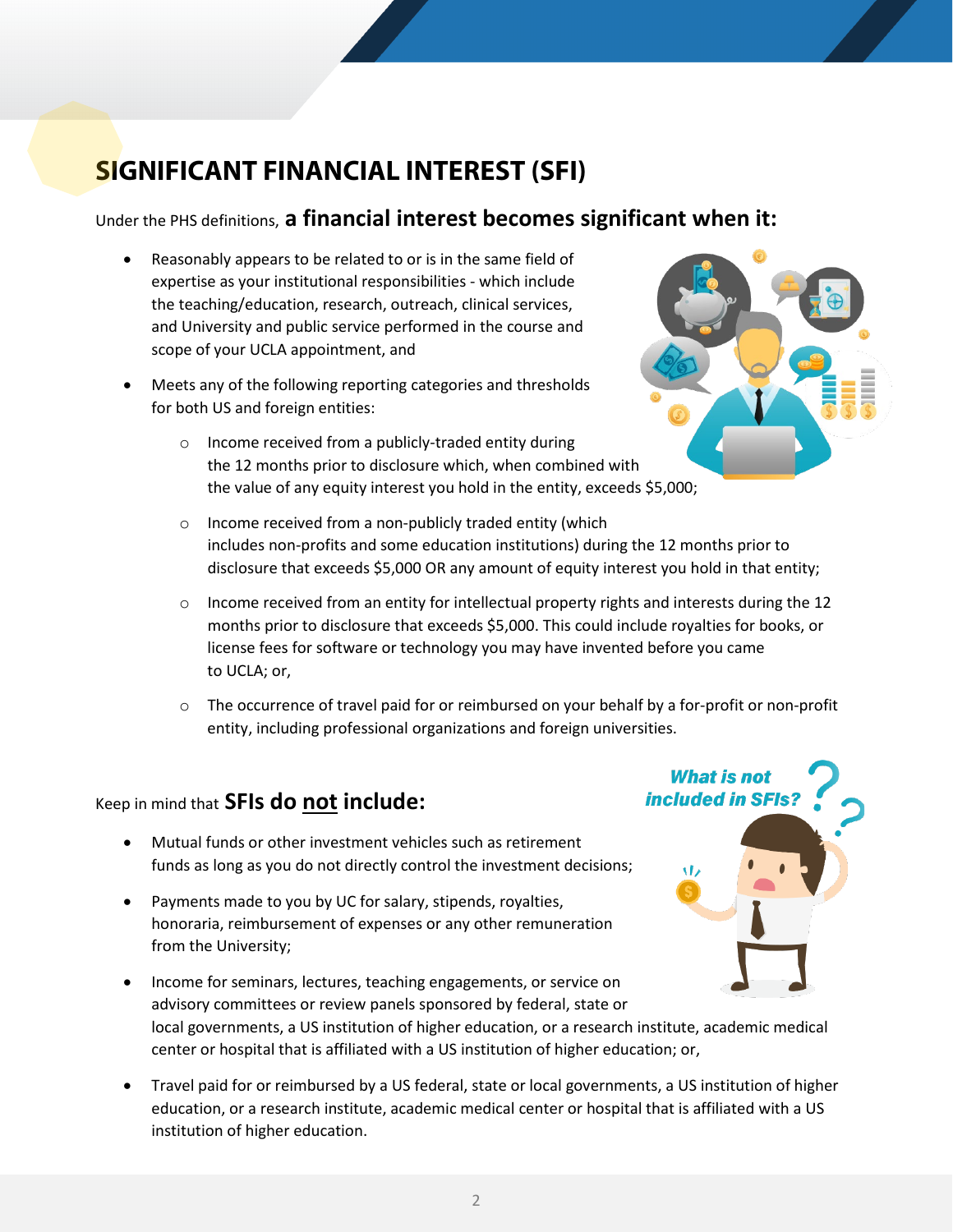### **SIGNIFICANT FINANCIAL INTEREST (SFI)**

#### Under the PHS definitions, **a financial interest becomes significant when it:**

- Reasonably appears to be related to or is in the same field of expertise as your institutional responsibilities - which include the teaching/education, research, outreach, clinical services, and University and public service performed in the course and scope of your UCLA appointment, and
- Meets any of the following reporting categories and thresholds for both US and foreign entities:
	- o Income received from a publicly-traded entity during the 12 months prior to disclosure which, when combined with the value of any equity interest you hold in the entity, exceeds \$5,000;
	- o Income received from a non-publicly traded entity (which includes non-profits and some education institutions) during the 12 months prior to disclosure that exceeds \$5,000 OR any amount of equity interest you hold in that entity;
	- $\circ$  Income received from an entity for intellectual property rights and interests during the 12 months prior to disclosure that exceeds \$5,000. This could include royalties for books, or license fees for software or technology you may have invented before you came to UCLA; or,
	- $\circ$  The occurrence of travel paid for or reimbursed on your behalf by a for-profit or non-profit entity, including professional organizations and foreign universities.

#### Keep in mind that **SFIs do not include:**

- Mutual funds or other investment vehicles such as retirement funds as long as you do not directly control the investment decisions;
- Payments made to you by UC for salary, stipends, royalties, honoraria, reimbursement of expenses or any other remuneration from the University;
- Income for seminars, lectures, teaching engagements, or service on advisory committees or review panels sponsored by federal, state or local governments, a US institution of higher education, or a research institute, academic medical center or hospital that is affiliated with a US institution of higher education; or,
- Travel paid for or reimbursed by a US federal, state or local governments, a US institution of higher education, or a research institute, academic medical center or hospital that is affiliated with a US institution of higher education.



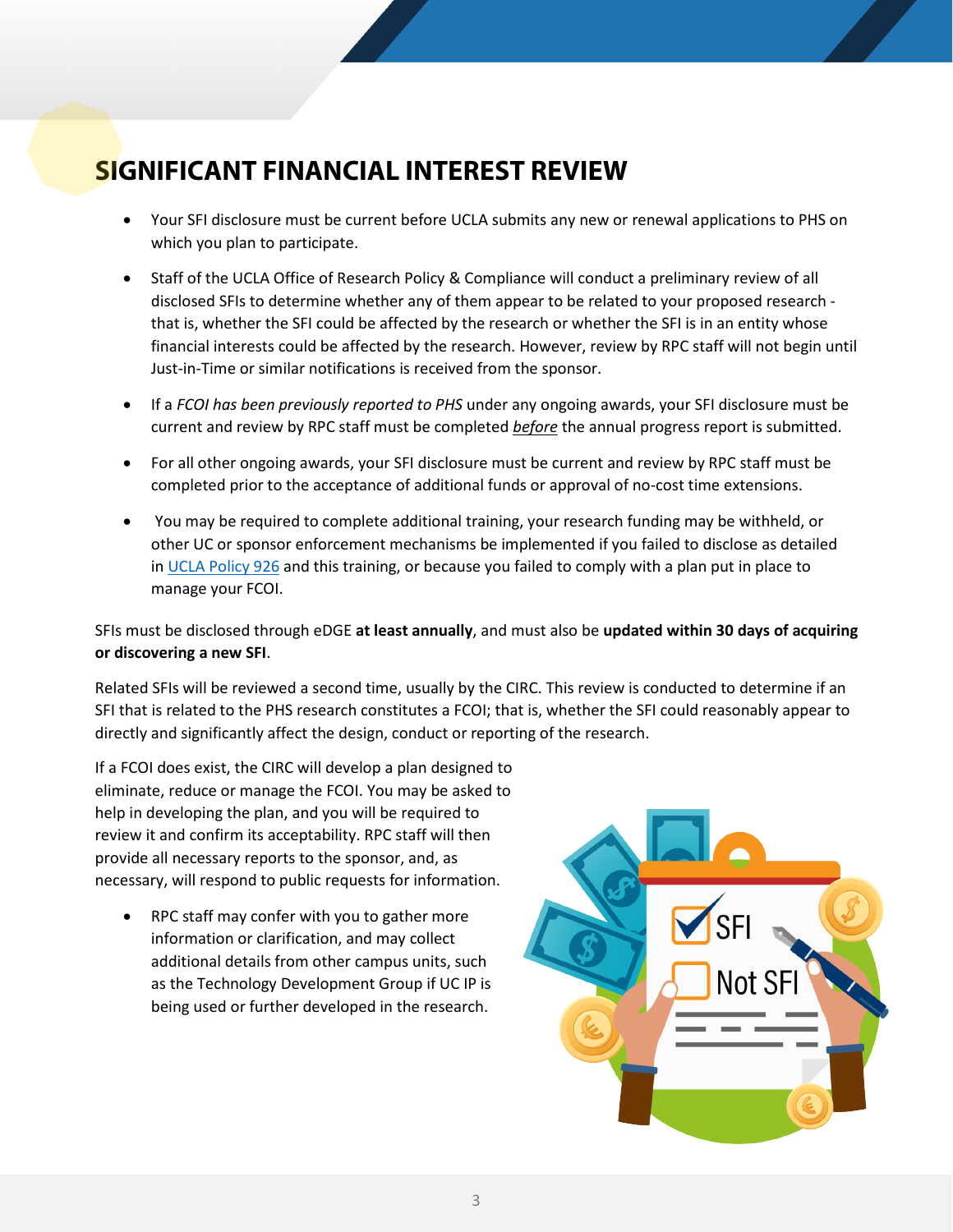### **SIGNIFICANT FINANCIAL INTEREST REVIEW**

- Your SFI disclosure must be current before UCLA submits any new or renewal applications to PHS on which you plan to participate.
- Staff of the UCLA Office of Research Policy & Compliance will conduct a preliminary review of all disclosed SFIs to determine whether any of them appear to be related to your proposed research that is, whether the SFI could be affected by the research or whether the SFI is in an entity whose financial interests could be affected by the research. However, review by RPC staff will not begin until Just-in-Time or similar notifications is received from the sponsor.
- If a *FCOI has been previously reported to PHS* under any ongoing awards, your SFI disclosure must be current and review by RPC staff must be completed *before* the annual progress report is submitted.
- For all other ongoing awards, your SFI disclosure must be current and review by RPC staff must be completed prior to the acceptance of additional funds or approval of no-cost time extensions.
- You may be required to complete additional training, your research funding may be withheld, or other UC or sponsor enforcement mechanisms be implemented if you failed to disclose as detailed in [UCLA Policy 926](http://www.adminpolicies.ucla.edu/app/Default.aspx?&id=926) and this training, or because you failed to comply with a plan put in place to manage your FCOI.

SFIs must be disclosed through eDGE **at least annually**, and must also be **updated within 30 days of acquiring or discovering a new SFI**.

Related SFIs will be reviewed a second time, usually by the CIRC. This review is conducted to determine if an SFI that is related to the PHS research constitutes a FCOI; that is, whether the SFI could reasonably appear to directly and significantly affect the design, conduct or reporting of the research.

If a FCOI does exist, the CIRC will develop a plan designed to eliminate, reduce or manage the FCOI. You may be asked to help in developing the plan, and you will be required to review it and confirm its acceptability. RPC staff will then provide all necessary reports to the sponsor, and, as necessary, will respond to public requests for information.

• RPC staff may confer with you to gather more information or clarification, and may collect additional details from other campus units, such as the Technology Development Group if UC IP is being used or further developed in the research.